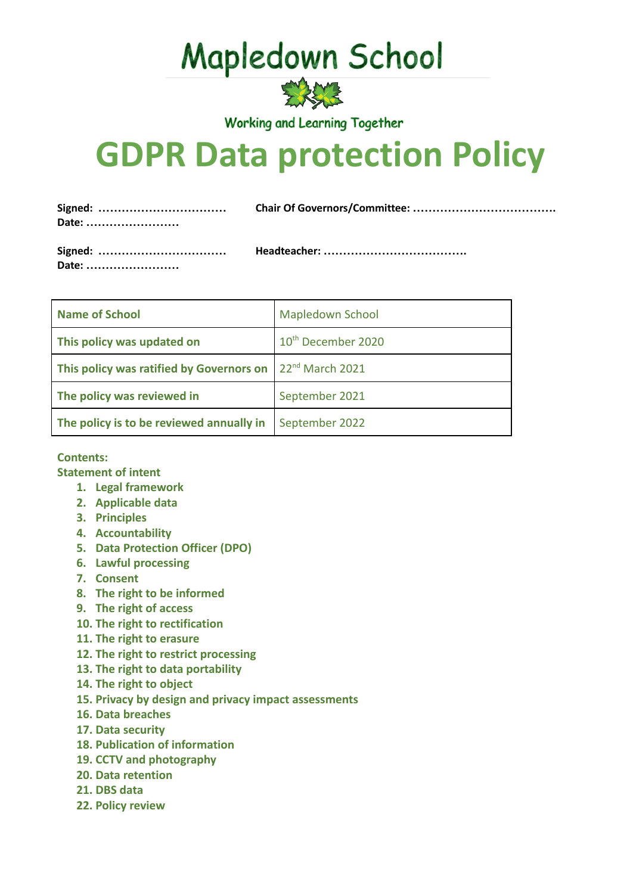**Mapledown School** 



**Working and Learning Together** 

# **GDPR Data protection Policy**

| Signed:<br>Date: |  |
|------------------|--|
| Signed:<br>Date: |  |

| <b>Name of School</b>                                              | <b>Mapledown School</b>        |
|--------------------------------------------------------------------|--------------------------------|
| This policy was updated on                                         | 10 <sup>th</sup> December 2020 |
| This policy was ratified by Governors on $\int 22^{nd}$ March 2021 |                                |
| The policy was reviewed in                                         | September 2021                 |
| The policy is to be reviewed annually in                           | September 2022                 |

## **Contents:**

**Statement of intent**

- **1. Legal framework**
- **2. Applicable data**
- **3. Principles**
- **4. Accountability**
- **5. Data Protection Officer (DPO)**
- **6. Lawful processing**
- **7. Consent**
- **8. The right to be informed**
- **9. The right of access**
- **10. The right to rectification**
- **11. The right to erasure**
- **12. The right to restrict processing**
- **13. The right to data portability**
- **14. The right to object**
- **15. Privacy by design and privacy impact assessments**
- **16. Data breaches**
- **17. Data security**
- **18. Publication of information**
- **19. CCTV and photography**
- **20. Data retention**
- **21. DBS data**
- **22. Policy review**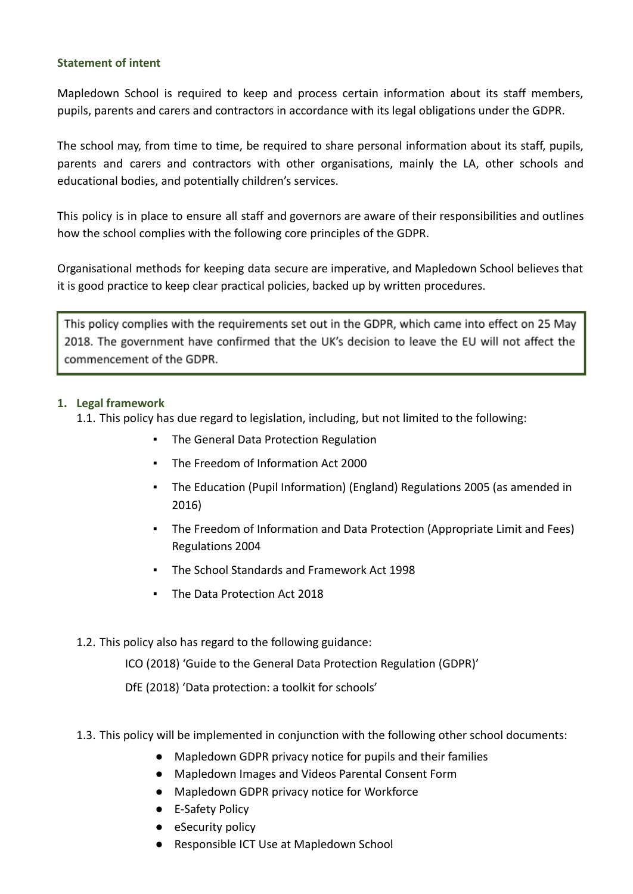## **Statement of intent**

Mapledown School is required to keep and process certain information about its staff members, pupils, parents and carers and contractors in accordance with its legal obligations under the GDPR.

The school may, from time to time, be required to share personal information about its staff, pupils, parents and carers and contractors with other organisations, mainly the LA, other schools and educational bodies, and potentially children's services.

This policy is in place to ensure all staff and governors are aware of their responsibilities and outlines how the school complies with the following core principles of the GDPR.

Organisational methods for keeping data secure are imperative, and Mapledown School believes that it is good practice to keep clear practical policies, backed up by written procedures.

This policy complies with the requirements set out in the GDPR, which came into effect on 25 May 2018. The government have confirmed that the UK's decision to leave the EU will not affect the commencement of the GDPR.

## **1. Legal framework**

1.1. This policy has due regard to legislation, including, but not limited to the following:

- The General Data Protection Regulation
- The Freedom of Information Act 2000
- The Education (Pupil Information) (England) Regulations 2005 (as amended in 2016)
- The Freedom of Information and Data Protection (Appropriate Limit and Fees) Regulations 2004
- The School Standards and Framework Act 1998
- The Data Protection Act 2018

## 1.2. This policy also has regard to the following guidance:

ICO (2018) 'Guide to the General Data Protection Regulation (GDPR)'

DfE (2018) 'Data protection: a toolkit for schools'

- 1.3. This policy will be implemented in conjunction with the following other school documents:
	- Mapledown GDPR privacy notice for pupils and their families
	- Mapledown Images and Videos Parental Consent Form
	- Mapledown GDPR privacy notice for Workforce
	- E-Safety Policy
	- eSecurity policy
	- Responsible ICT Use at Mapledown School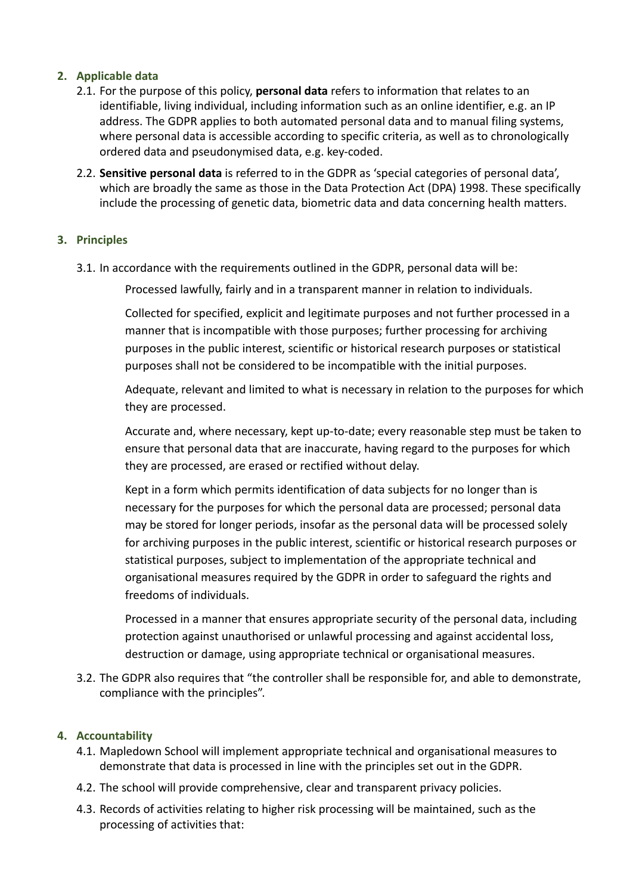# **2. Applicable data**

- 2.1. For the purpose of this policy, **personal data** refers to information that relates to an identifiable, living individual, including information such as an online identifier, e.g. an IP address. The GDPR applies to both automated personal data and to manual filing systems, where personal data is accessible according to specific criteria, as well as to chronologically ordered data and pseudonymised data, e.g. key-coded.
- 2.2. **Sensitive personal data** is referred to in the GDPR as 'special categories of personal data', which are broadly the same as those in the Data Protection Act (DPA) 1998. These specifically include the processing of genetic data, biometric data and data concerning health matters.

# **3. Principles**

3.1. In accordance with the requirements outlined in the GDPR, personal data will be:

Processed lawfully, fairly and in a transparent manner in relation to individuals.

Collected for specified, explicit and legitimate purposes and not further processed in a manner that is incompatible with those purposes; further processing for archiving purposes in the public interest, scientific or historical research purposes or statistical purposes shall not be considered to be incompatible with the initial purposes.

Adequate, relevant and limited to what is necessary in relation to the purposes for which they are processed.

Accurate and, where necessary, kept up-to-date; every reasonable step must be taken to ensure that personal data that are inaccurate, having regard to the purposes for which they are processed, are erased or rectified without delay.

Kept in a form which permits identification of data subjects for no longer than is necessary for the purposes for which the personal data are processed; personal data may be stored for longer periods, insofar as the personal data will be processed solely for archiving purposes in the public interest, scientific or historical research purposes or statistical purposes, subject to implementation of the appropriate technical and organisational measures required by the GDPR in order to safeguard the rights and freedoms of individuals.

Processed in a manner that ensures appropriate security of the personal data, including protection against unauthorised or unlawful processing and against accidental loss, destruction or damage, using appropriate technical or organisational measures.

3.2. The GDPR also requires that "the controller shall be responsible for, and able to demonstrate, compliance with the principles".

# **4. Accountability**

- 4.1. Mapledown School will implement appropriate technical and organisational measures to demonstrate that data is processed in line with the principles set out in the GDPR.
- 4.2. The school will provide comprehensive, clear and transparent privacy policies.
- 4.3. Records of activities relating to higher risk processing will be maintained, such as the processing of activities that: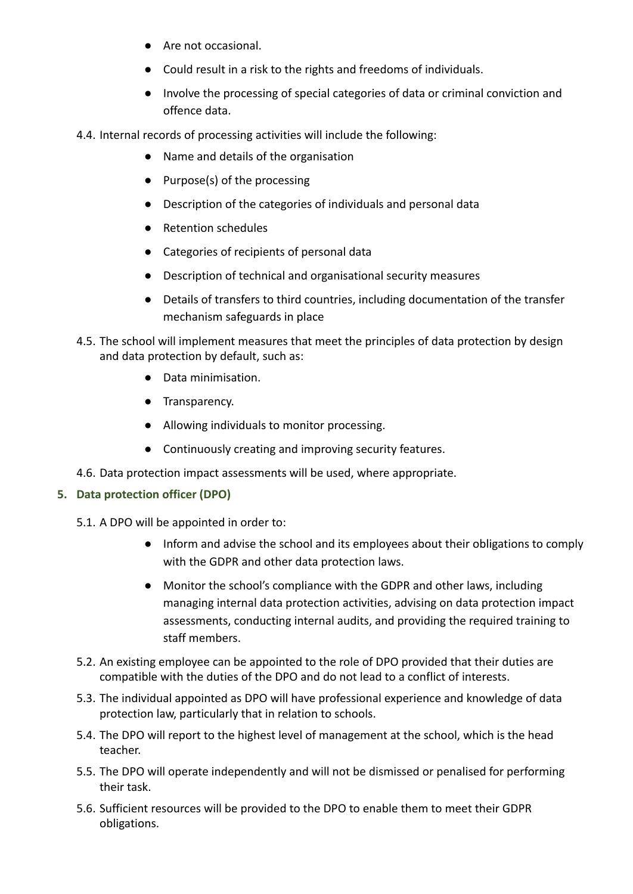- Are not occasional.
- Could result in a risk to the rights and freedoms of individuals.
- Involve the processing of special categories of data or criminal conviction and offence data.
- 4.4. Internal records of processing activities will include the following:
	- Name and details of the organisation
	- Purpose(s) of the processing
	- Description of the categories of individuals and personal data
	- Retention schedules
	- Categories of recipients of personal data
	- Description of technical and organisational security measures
	- Details of transfers to third countries, including documentation of the transfer mechanism safeguards in place
- 4.5. The school will implement measures that meet the principles of data protection by design and data protection by default, such as:
	- Data minimisation.
	- Transparency.
	- Allowing individuals to monitor processing.
	- Continuously creating and improving security features.
- 4.6. Data protection impact assessments will be used, where appropriate.

# **5. Data protection officer (DPO)**

- 5.1. A DPO will be appointed in order to:
	- Inform and advise the school and its employees about their obligations to comply with the GDPR and other data protection laws.
	- Monitor the school's compliance with the GDPR and other laws, including managing internal data protection activities, advising on data protection impact assessments, conducting internal audits, and providing the required training to staff members.
- 5.2. An existing employee can be appointed to the role of DPO provided that their duties are compatible with the duties of the DPO and do not lead to a conflict of interests.
- 5.3. The individual appointed as DPO will have professional experience and knowledge of data protection law, particularly that in relation to schools.
- 5.4. The DPO will report to the highest level of management at the school, which is the head teacher.
- 5.5. The DPO will operate independently and will not be dismissed or penalised for performing their task.
- 5.6. Sufficient resources will be provided to the DPO to enable them to meet their GDPR obligations.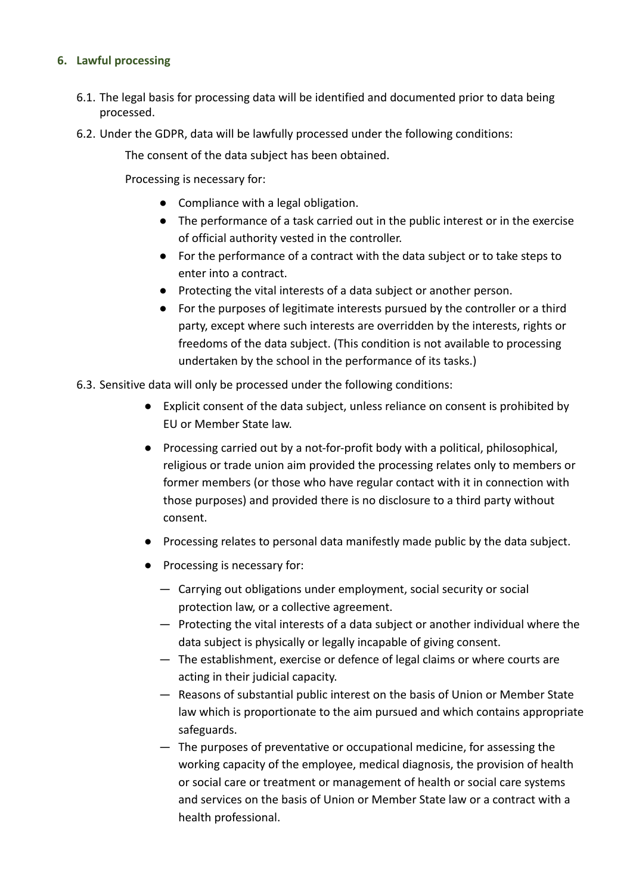## **6. Lawful processing**

- 6.1. The legal basis for processing data will be identified and documented prior to data being processed.
- 6.2. Under the GDPR, data will be lawfully processed under the following conditions:

The consent of the data subject has been obtained.

Processing is necessary for:

- Compliance with a legal obligation.
- The performance of a task carried out in the public interest or in the exercise of official authority vested in the controller.
- For the performance of a contract with the data subject or to take steps to enter into a contract.
- Protecting the vital interests of a data subject or another person.
- For the purposes of legitimate interests pursued by the controller or a third party, except where such interests are overridden by the interests, rights or freedoms of the data subject. (This condition is not available to processing undertaken by the school in the performance of its tasks.)
- 6.3. Sensitive data will only be processed under the following conditions:
	- Explicit consent of the data subject, unless reliance on consent is prohibited by EU or Member State law.
	- Processing carried out by a not-for-profit body with a political, philosophical, religious or trade union aim provided the processing relates only to members or former members (or those who have regular contact with it in connection with those purposes) and provided there is no disclosure to a third party without consent.
	- Processing relates to personal data manifestly made public by the data subject.
	- Processing is necessary for:
		- Carrying out obligations under employment, social security or social protection law, or a collective agreement.
		- Protecting the vital interests of a data subject or another individual where the data subject is physically or legally incapable of giving consent.
		- The establishment, exercise or defence of legal claims or where courts are acting in their judicial capacity.
		- Reasons of substantial public interest on the basis of Union or Member State law which is proportionate to the aim pursued and which contains appropriate safeguards.
		- The purposes of preventative or occupational medicine, for assessing the working capacity of the employee, medical diagnosis, the provision of health or social care or treatment or management of health or social care systems and services on the basis of Union or Member State law or a contract with a health professional.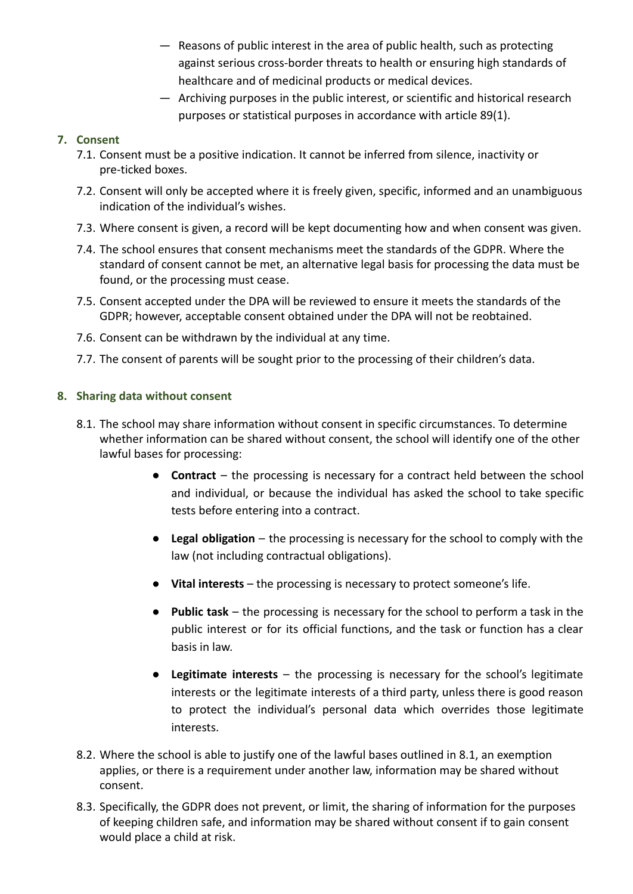- Reasons of public interest in the area of public health, such as protecting against serious cross-border threats to health or ensuring high standards of healthcare and of medicinal products or medical devices.
- Archiving purposes in the public interest, or scientific and historical research purposes or statistical purposes in accordance with article 89(1).

# **7. Consent**

- 7.1. Consent must be a positive indication. It cannot be inferred from silence, inactivity or pre-ticked boxes.
- 7.2. Consent will only be accepted where it is freely given, specific, informed and an unambiguous indication of the individual's wishes.
- 7.3. Where consent is given, a record will be kept documenting how and when consent was given.
- 7.4. The school ensures that consent mechanisms meet the standards of the GDPR. Where the standard of consent cannot be met, an alternative legal basis for processing the data must be found, or the processing must cease.
- 7.5. Consent accepted under the DPA will be reviewed to ensure it meets the standards of the GDPR; however, acceptable consent obtained under the DPA will not be reobtained.
- 7.6. Consent can be withdrawn by the individual at any time.
- 7.7. The consent of parents will be sought prior to the processing of their children's data.

# **8. Sharing data without consent**

- 8.1. The school may share information without consent in specific circumstances. To determine whether information can be shared without consent, the school will identify one of the other lawful bases for processing:
	- **Contract** the processing is necessary for a contract held between the school and individual, or because the individual has asked the school to take specific tests before entering into a contract.
	- **Legal obligation** the processing is necessary for the school to comply with the law (not including contractual obligations).
	- **Vital interests** the processing is necessary to protect someone's life.
	- **Public task** the processing is necessary for the school to perform a task in the public interest or for its official functions, and the task or function has a clear basis in law.
	- **Legitimate interests** the processing is necessary for the school's legitimate interests or the legitimate interests of a third party, unless there is good reason to protect the individual's personal data which overrides those legitimate interests.
- 8.2. Where the school is able to justify one of the lawful bases outlined in 8.1, an [exemption](https://ico.org.uk/for-organisations/guide-to-the-general-data-protection-regulation-gdpr/exemptions/) applies, or there is a requirement under another law, information may be shared without consent.
- 8.3. Specifically, the GDPR does not prevent, or limit, the sharing of information for the purposes of keeping children safe, and information may be shared without consent if to gain consent would place a child at risk.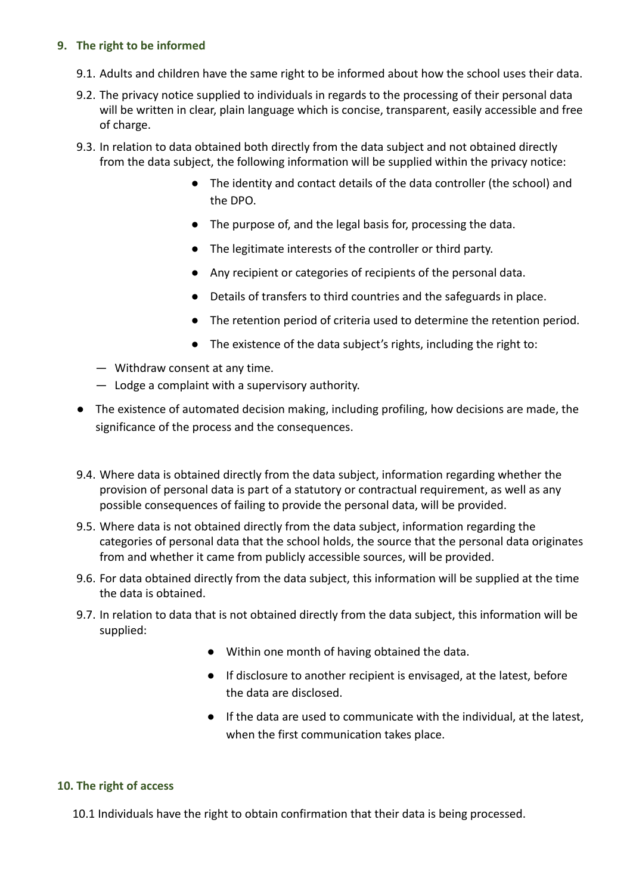## **9. The right to be informed**

- 9.1. Adults and children have the same right to be informed about how the school uses their data.
- 9.2. The privacy notice supplied to individuals in regards to the processing of their personal data will be written in clear, plain language which is concise, transparent, easily accessible and free of charge.
- 9.3. In relation to data obtained both directly from the data subject and not obtained directly from the data subject, the following information will be supplied within the privacy notice:
	- The identity and contact details of the data controller (the school) and the DPO.
	- The purpose of, and the legal basis for, processing the data.
	- The legitimate interests of the controller or third party.
	- Any recipient or categories of recipients of the personal data.
	- Details of transfers to third countries and the safeguards in place.
	- The retention period of criteria used to determine the retention period.
	- The existence of the data subject's rights, including the right to:
	- Withdraw consent at any time.
	- Lodge a complaint with a supervisory authority.
- The existence of automated decision making, including profiling, how decisions are made, the significance of the process and the consequences.
- 9.4. Where data is obtained directly from the data subject, information regarding whether the provision of personal data is part of a statutory or contractual requirement, as well as any possible consequences of failing to provide the personal data, will be provided.
- 9.5. Where data is not obtained directly from the data subject, information regarding the categories of personal data that the school holds, the source that the personal data originates from and whether it came from publicly accessible sources, will be provided.
- 9.6. For data obtained directly from the data subject, this information will be supplied at the time the data is obtained.
- 9.7. In relation to data that is not obtained directly from the data subject, this information will be supplied:
	- Within one month of having obtained the data.
	- If disclosure to another recipient is envisaged, at the latest, before the data are disclosed.
	- If the data are used to communicate with the individual, at the latest, when the first communication takes place.

## **10. The right of access**

10.1 Individuals have the right to obtain confirmation that their data is being processed.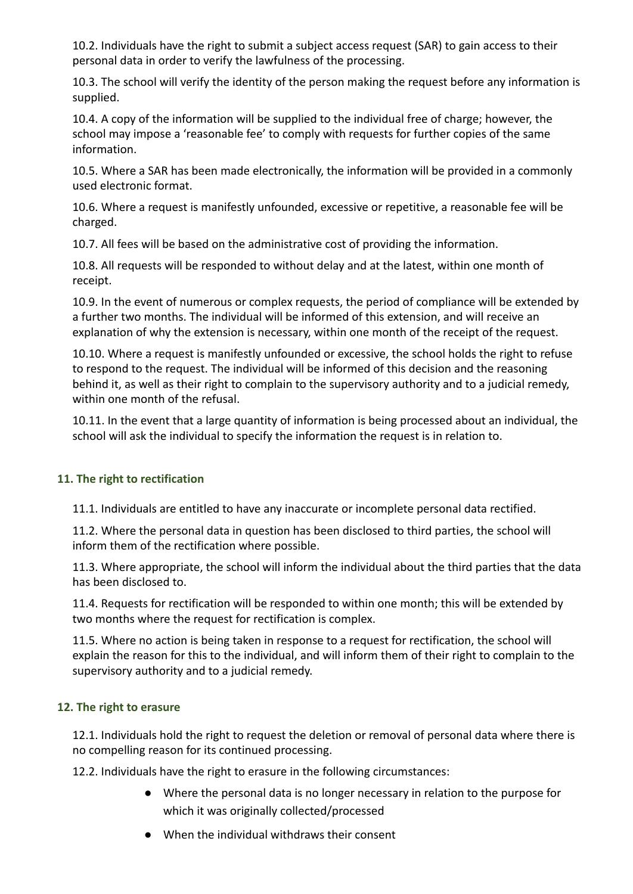10.2. Individuals have the right to submit a subject access request (SAR) to gain access to their personal data in order to verify the lawfulness of the processing.

10.3. The school will verify the identity of the person making the request before any information is supplied.

10.4. A copy of the information will be supplied to the individual free of charge; however, the school may impose a 'reasonable fee' to comply with requests for further copies of the same information.

10.5. Where a SAR has been made electronically, the information will be provided in a commonly used electronic format.

10.6. Where a request is manifestly unfounded, excessive or repetitive, a reasonable fee will be charged.

10.7. All fees will be based on the administrative cost of providing the information.

10.8. All requests will be responded to without delay and at the latest, within one month of receipt.

10.9. In the event of numerous or complex requests, the period of compliance will be extended by a further two months. The individual will be informed of this extension, and will receive an explanation of why the extension is necessary, within one month of the receipt of the request.

10.10. Where a request is manifestly unfounded or excessive, the school holds the right to refuse to respond to the request. The individual will be informed of this decision and the reasoning behind it, as well as their right to complain to the supervisory authority and to a judicial remedy, within one month of the refusal.

10.11. In the event that a large quantity of information is being processed about an individual, the school will ask the individual to specify the information the request is in relation to.

# **11. The right to rectification**

11.1. Individuals are entitled to have any inaccurate or incomplete personal data rectified.

11.2. Where the personal data in question has been disclosed to third parties, the school will inform them of the rectification where possible.

11.3. Where appropriate, the school will inform the individual about the third parties that the data has been disclosed to.

11.4. Requests for rectification will be responded to within one month; this will be extended by two months where the request for rectification is complex.

11.5. Where no action is being taken in response to a request for rectification, the school will explain the reason for this to the individual, and will inform them of their right to complain to the supervisory authority and to a judicial remedy.

# **12. The right to erasure**

12.1. Individuals hold the right to request the deletion or removal of personal data where there is no compelling reason for its continued processing.

12.2. Individuals have the right to erasure in the following circumstances:

- Where the personal data is no longer necessary in relation to the purpose for which it was originally collected/processed
- When the individual withdraws their consent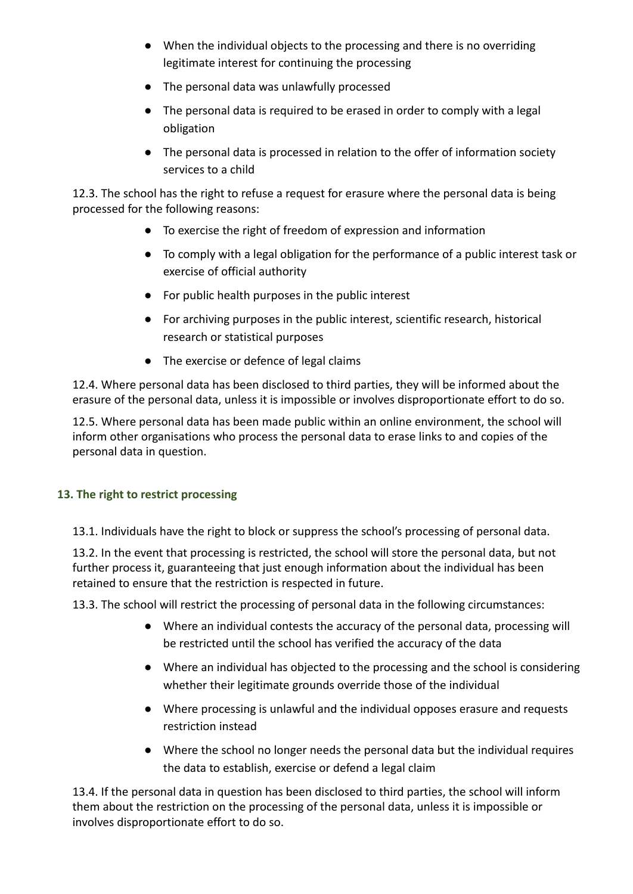- When the individual objects to the processing and there is no overriding legitimate interest for continuing the processing
- The personal data was unlawfully processed
- The personal data is required to be erased in order to comply with a legal obligation
- The personal data is processed in relation to the offer of information society services to a child

12.3. The school has the right to refuse a request for erasure where the personal data is being processed for the following reasons:

- To exercise the right of freedom of expression and information
- To comply with a legal obligation for the performance of a public interest task or exercise of official authority
- For public health purposes in the public interest
- For archiving purposes in the public interest, scientific research, historical research or statistical purposes
- The exercise or defence of legal claims

12.4. Where personal data has been disclosed to third parties, they will be informed about the erasure of the personal data, unless it is impossible or involves disproportionate effort to do so.

12.5. Where personal data has been made public within an online environment, the school will inform other organisations who process the personal data to erase links to and copies of the personal data in question.

# **13. The right to restrict processing**

13.1. Individuals have the right to block or suppress the school's processing of personal data.

13.2. In the event that processing is restricted, the school will store the personal data, but not further process it, guaranteeing that just enough information about the individual has been retained to ensure that the restriction is respected in future.

13.3. The school will restrict the processing of personal data in the following circumstances:

- Where an individual contests the accuracy of the personal data, processing will be restricted until the school has verified the accuracy of the data
- Where an individual has objected to the processing and the school is considering whether their legitimate grounds override those of the individual
- Where processing is unlawful and the individual opposes erasure and requests restriction instead
- Where the school no longer needs the personal data but the individual requires the data to establish, exercise or defend a legal claim

13.4. If the personal data in question has been disclosed to third parties, the school will inform them about the restriction on the processing of the personal data, unless it is impossible or involves disproportionate effort to do so.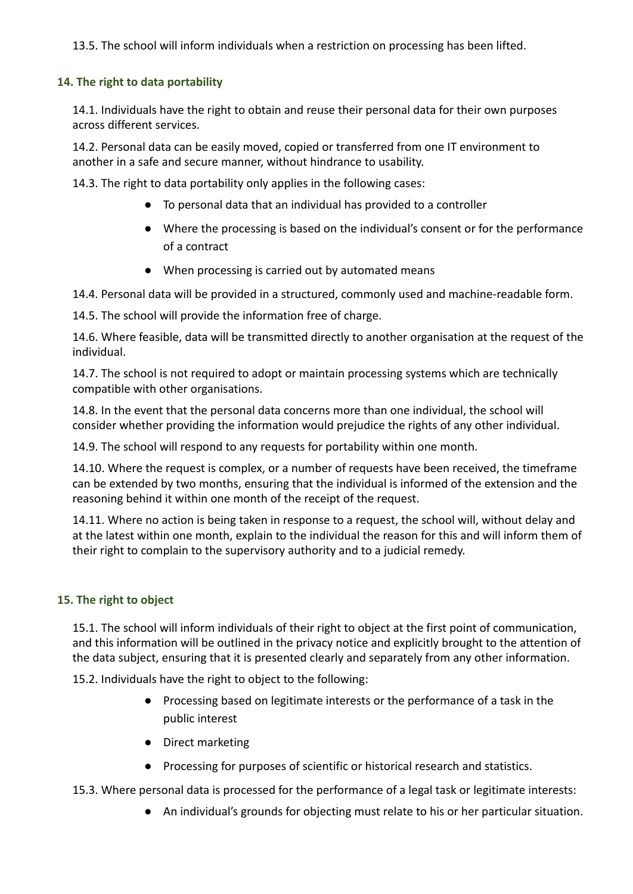13.5. The school will inform individuals when a restriction on processing has been lifted.

# **14. The right to data portability**

14.1. Individuals have the right to obtain and reuse their personal data for their own purposes across different services.

14.2. Personal data can be easily moved, copied or transferred from one IT environment to another in a safe and secure manner, without hindrance to usability.

14.3. The right to data portability only applies in the following cases:

- To personal data that an individual has provided to a controller
- Where the processing is based on the individual's consent or for the performance of a contract
- When processing is carried out by automated means

14.4. Personal data will be provided in a structured, commonly used and machine-readable form.

14.5. The school will provide the information free of charge.

14.6. Where feasible, data will be transmitted directly to another organisation at the request of the individual.

14.7. The school is not required to adopt or maintain processing systems which are technically compatible with other organisations.

14.8. In the event that the personal data concerns more than one individual, the school will consider whether providing the information would prejudice the rights of any other individual.

14.9. The school will respond to any requests for portability within one month.

14.10. Where the request is complex, or a number of requests have been received, the timeframe can be extended by two months, ensuring that the individual is informed of the extension and the reasoning behind it within one month of the receipt of the request.

14.11. Where no action is being taken in response to a request, the school will, without delay and at the latest within one month, explain to the individual the reason for this and will inform them of their right to complain to the supervisory authority and to a judicial remedy.

# **15. The right to object**

15.1. The school will inform individuals of their right to object at the first point of communication, and this information will be outlined in the privacy notice and explicitly brought to the attention of the data subject, ensuring that it is presented clearly and separately from any other information.

15.2. Individuals have the right to object to the following:

- Processing based on legitimate interests or the performance of a task in the public interest
- Direct marketing
- Processing for purposes of scientific or historical research and statistics.

15.3. Where personal data is processed for the performance of a legal task or legitimate interests:

● An individual's grounds for objecting must relate to his or her particular situation.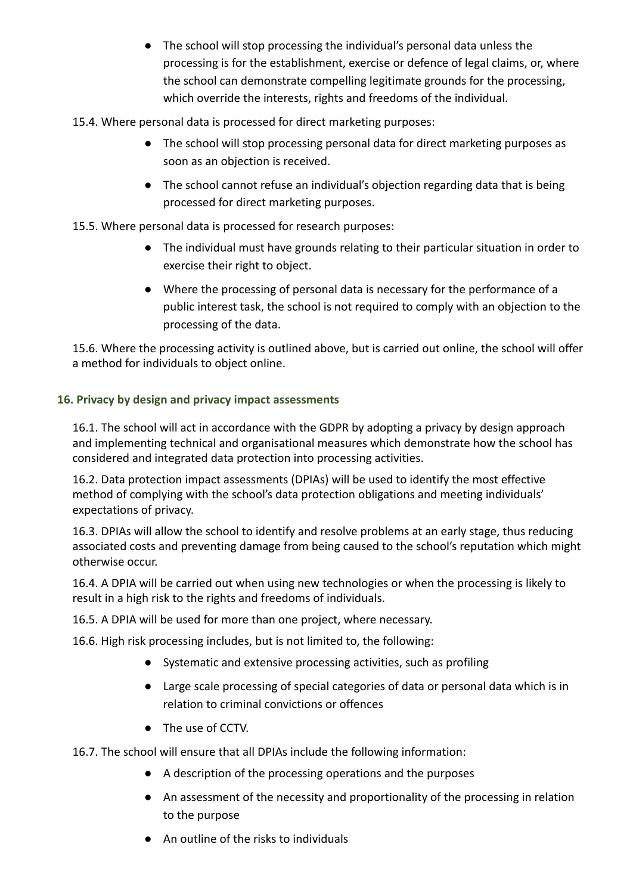- The school will stop processing the individual's personal data unless the processing is for the establishment, exercise or defence of legal claims, or, where the school can demonstrate compelling legitimate grounds for the processing, which override the interests, rights and freedoms of the individual.
- 15.4. Where personal data is processed for direct marketing purposes:
	- The school will stop processing personal data for direct marketing purposes as soon as an objection is received.
	- The school cannot refuse an individual's objection regarding data that is being processed for direct marketing purposes.

15.5. Where personal data is processed for research purposes:

- The individual must have grounds relating to their particular situation in order to exercise their right to object.
- Where the processing of personal data is necessary for the performance of a public interest task, the school is not required to comply with an objection to the processing of the data.

15.6. Where the processing activity is outlined above, but is carried out online, the school will offer a method for individuals to object online.

# **16. Privacy by design and privacy impact assessments**

16.1. The school will act in accordance with the GDPR by adopting a privacy by design approach and implementing technical and organisational measures which demonstrate how the school has considered and integrated data protection into processing activities.

16.2. Data protection impact assessments (DPIAs) will be used to identify the most effective method of complying with the school's data protection obligations and meeting individuals' expectations of privacy.

16.3. DPIAs will allow the school to identify and resolve problems at an early stage, thus reducing associated costs and preventing damage from being caused to the school's reputation which might otherwise occur.

16.4. A DPIA will be carried out when using new technologies or when the processing is likely to result in a high risk to the rights and freedoms of individuals.

16.5. A DPIA will be used for more than one project, where necessary.

16.6. High risk processing includes, but is not limited to, the following:

- Systematic and extensive processing activities, such as profiling
- Large scale processing of special categories of data or personal data which is in relation to criminal convictions or offences
- The use of CCTV.

16.7. The school will ensure that all DPIAs include the following information:

- A description of the processing operations and the purposes
- An assessment of the necessity and proportionality of the processing in relation to the purpose
- An outline of the risks to individuals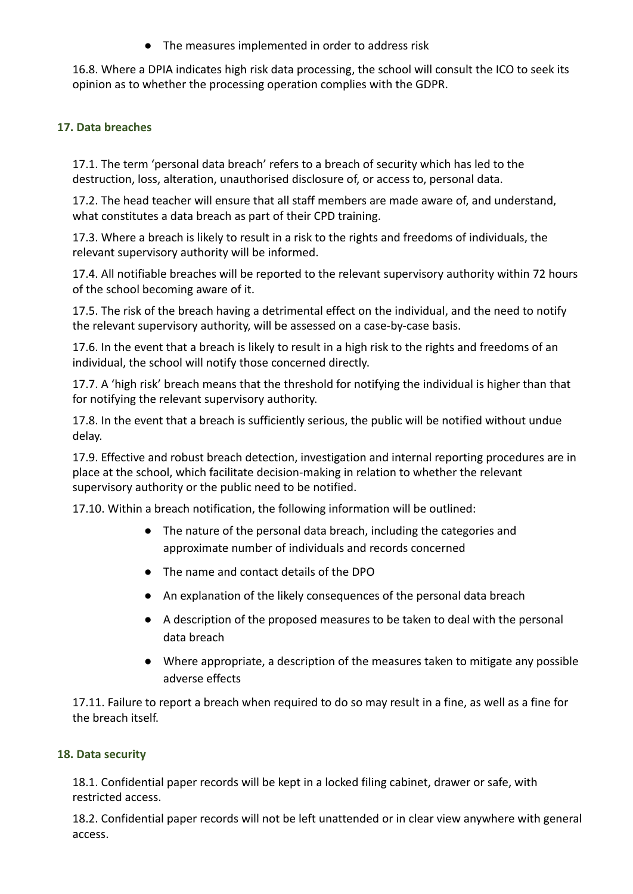● The measures implemented in order to address risk

16.8. Where a DPIA indicates high risk data processing, the school will consult the ICO to seek its opinion as to whether the processing operation complies with the GDPR.

# **17. Data breaches**

17.1. The term 'personal data breach' refers to a breach of security which has led to the destruction, loss, alteration, unauthorised disclosure of, or access to, personal data.

17.2. The head teacher will ensure that all staff members are made aware of, and understand, what constitutes a data breach as part of their CPD training.

17.3. Where a breach is likely to result in a risk to the rights and freedoms of individuals, the relevant supervisory authority will be informed.

17.4. All notifiable breaches will be reported to the relevant supervisory authority within 72 hours of the school becoming aware of it.

17.5. The risk of the breach having a detrimental effect on the individual, and the need to notify the relevant supervisory authority, will be assessed on a case-by-case basis.

17.6. In the event that a breach is likely to result in a high risk to the rights and freedoms of an individual, the school will notify those concerned directly.

17.7. A 'high risk' breach means that the threshold for notifying the individual is higher than that for notifying the relevant supervisory authority.

17.8. In the event that a breach is sufficiently serious, the public will be notified without undue delay.

17.9. Effective and robust breach detection, investigation and internal reporting procedures are in place at the school, which facilitate decision-making in relation to whether the relevant supervisory authority or the public need to be notified.

17.10. Within a breach notification, the following information will be outlined:

- The nature of the personal data breach, including the categories and approximate number of individuals and records concerned
- The name and contact details of the DPO
- An explanation of the likely consequences of the personal data breach
- A description of the proposed measures to be taken to deal with the personal data breach
- Where appropriate, a description of the measures taken to mitigate any possible adverse effects

17.11. Failure to report a breach when required to do so may result in a fine, as well as a fine for the breach itself.

# **18. Data security**

18.1. Confidential paper records will be kept in a locked filing cabinet, drawer or safe, with restricted access.

18.2. Confidential paper records will not be left unattended or in clear view anywhere with general access.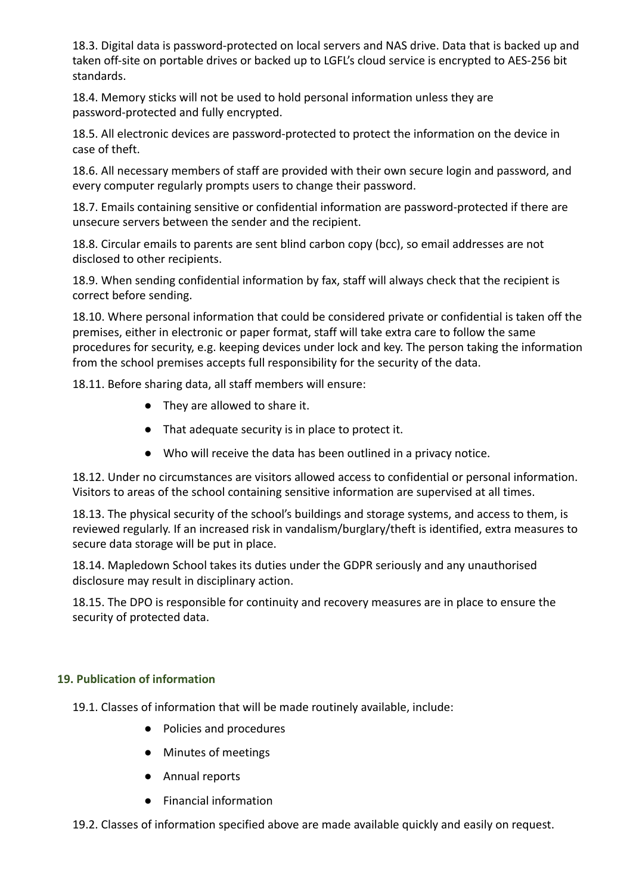18.3. Digital data is password-protected on local servers and NAS drive. Data that is backed up and taken off-site on portable drives or backed up to LGFL's cloud service is encrypted to AES-256 bit standards.

18.4. Memory sticks will not be used to hold personal information unless they are password-protected and fully encrypted.

18.5. All electronic devices are password-protected to protect the information on the device in case of theft.

18.6. All necessary members of staff are provided with their own secure login and password, and every computer regularly prompts users to change their password.

18.7. Emails containing sensitive or confidential information are password-protected if there are unsecure servers between the sender and the recipient.

18.8. Circular emails to parents are sent blind carbon copy (bcc), so email addresses are not disclosed to other recipients.

18.9. When sending confidential information by fax, staff will always check that the recipient is correct before sending.

18.10. Where personal information that could be considered private or confidential is taken off the premises, either in electronic or paper format, staff will take extra care to follow the same procedures for security, e.g. keeping devices under lock and key. The person taking the information from the school premises accepts full responsibility for the security of the data.

18.11. Before sharing data, all staff members will ensure:

- They are allowed to share it.
- That adequate security is in place to protect it.
- Who will receive the data has been outlined in a privacy notice.

18.12. Under no circumstances are visitors allowed access to confidential or personal information. Visitors to areas of the school containing sensitive information are supervised at all times.

18.13. The physical security of the school's buildings and storage systems, and access to them, is reviewed regularly. If an increased risk in vandalism/burglary/theft is identified, extra measures to secure data storage will be put in place.

18.14. Mapledown School takes its duties under the GDPR seriously and any unauthorised disclosure may result in disciplinary action.

18.15. The DPO is responsible for continuity and recovery measures are in place to ensure the security of protected data.

# **19. Publication of information**

19.1. Classes of information that will be made routinely available, include:

- Policies and procedures
- Minutes of meetings
- Annual reports
- Financial information
- 19.2. Classes of information specified above are made available quickly and easily on request.